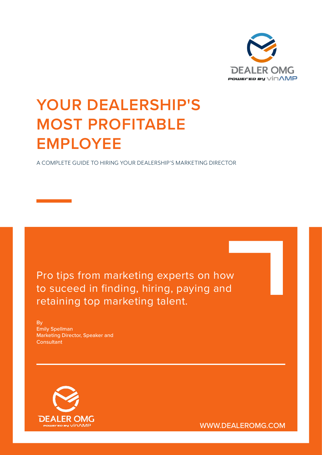

# **YOUR DEALERSHIP'S MOST PROFITABLE EMPLOYEE**

A COMPLETE GUIDE TO HIRING YOUR DEALERSHIP'S MARKETING DIRECTOR

Pro tips from marketing experts on how to suceed in finding, hiring, paying and retaining top marketing talent.

By Emily Spellman Marketing Director, Speaker and Consultant



WWW.DEALEROMG.COM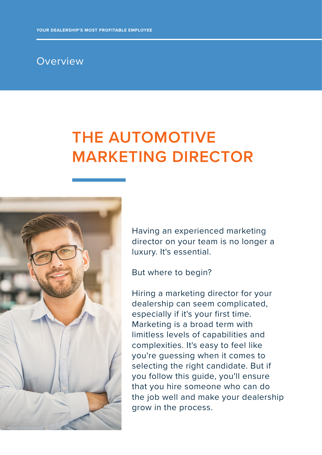#### Overview

## **THE AUTOMOTIVE MARKETING DIRECTOR**



Having an experienced marketing director on your team is no longer a luxury. It's essential.

But where to begin?

Hiring a marketing director for your dealership can seem complicated, especially if it's your first time. Marketing is a broad term with limitless levels of capabilities and complexities. It's easy to feel like you're guessing when it comes to selecting the right candidate. But if you follow this guide, you'll ensure that you hire someone who can do the job well and make your dealership grow in the process.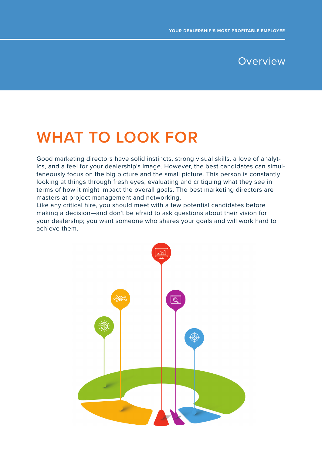#### Overview

### **WHAT TO LOOK FOR**

Good marketing directors have solid instincts, strong visual skills, a love of analytics, and a feel for your dealership's image. However, the best candidates can simultaneously focus on the big picture and the small picture. This person is constantly looking at things through fresh eyes, evaluating and critiquing what they see in terms of how it might impact the overall goals. The best marketing directors are masters at project management and networking.

Like any critical hire, you should meet with a few potential candidates before making a decision—and don't be afraid to ask questions about their vision for your dealership; you want someone who shares your goals and will work hard to achieve them.

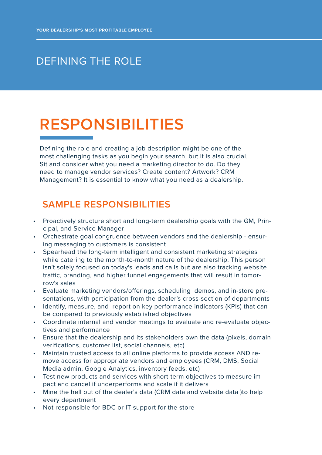### DEFINING THE ROLE

# **RESPONSIBILITIES**

Defining the role and creating a job description might be one of the most challenging tasks as you begin your search, but it is also crucial. Sit and consider what you need a marketing director to do. Do they need to manage vendor services? Create content? Artwork? CRM Management? It is essential to know what you need as a dealership.

### **SAMPLE RESPONSIBILITIES**

- Proactively structure short and long-term dealership goals with the GM, Principal, and Service Manager
- Orchestrate goal congruence between vendors and the dealership ensuring messaging to customers is consistent
- Spearhead the long-term intelligent and consistent marketing strategies while catering to the month-to-month nature of the dealership. This person isn't solely focused on today's leads and calls but are also tracking website traffic, branding, and higher funnel engagements that will result in tomorrow's sales
- Evaluate marketing vendors/offerings, scheduling demos, and in-store presentations, with participation from the dealer's cross-section of departments
- Identify, measure, and report on key performance indicators (KPIs) that can be compared to previously established objectives
- Coordinate internal and vendor meetings to evaluate and re-evaluate objectives and performance
- Ensure that the dealership and its stakeholders own the data (pixels, domain verifications, customer list, social channels, etc)
- Maintain trusted access to all online platforms to provide access AND remove access for appropriate vendors and employees (CRM, DMS, Social Media admin, Google Analytics, inventory feeds, etc)
- Test new products and services with short-term objectives to measure impact and cancel if underperforms and scale if it delivers
- Mine the hell out of the dealer's data (CRM data and website data )to help every department
- Not responsible for BDC or IT support for the store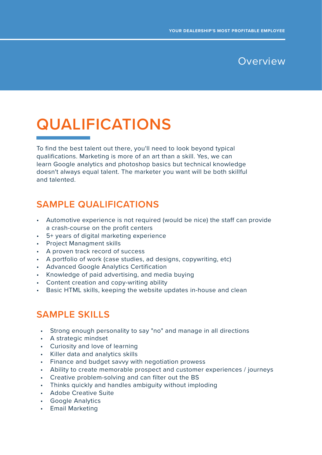

# **QUALIFICATIONS**

To find the best talent out there, you'll need to look beyond typical qualifications. Marketing is more of an art than a skill. Yes, we can learn Google analytics and photoshop basics but technical knowledge doesn't always equal talent. The marketer you want will be both skillful and talented.

### **SAMPLE QUALIFICATIONS**

- Automotive experience is not required (would be nice) the staff can provide a crash-course on the profit centers
- 5+ years of digital marketing experience
- Project Managment skills
- A proven track record of success
- A portfolio of work (case studies, ad designs, copywriting, etc)
- Advanced Google Analytics Certification
- Knowledge of paid advertising, and media buying
- Content creation and copy-writing ability
- Basic HTML skills, keeping the website updates in-house and clean

#### **SAMPLE SKILLS**

- Strong enough personality to say "no" and manage in all directions
- A strategic mindset
- Curiosity and love of learning
- Killer data and analytics skills
- Finance and budget savvy with negotiation prowess
- Ability to create memorable prospect and customer experiences / journeys
- Creative problem-solving and can filter out the BS
- Thinks quickly and handles ambiguity without imploding
- Adobe Creative Suite
- Google Analytics
- Email Marketing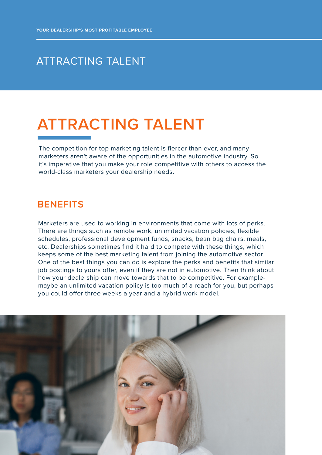### ATTRACTING TALENT

## **ATTRACTING TALENT**

The competition for top marketing talent is fiercer than ever, and many marketers aren't aware of the opportunities in the automotive industry. So it's imperative that you make your role competitive with others to access the world-class marketers your dealership needs.

#### **BENEFITS**

Marketers are used to working in environments that come with lots of perks. There are things such as remote work, unlimited vacation policies, flexible schedules, professional development funds, snacks, bean bag chairs, meals, etc. Dealerships sometimes find it hard to compete with these things, which keeps some of the best marketing talent from joining the automotive sector. One of the best things you can do is explore the perks and benefits that similar job postings to yours offer, even if they are not in automotive. Then think about how your dealership can move towards that to be competitive. For examplemaybe an unlimited vacation policy is too much of a reach for you, but perhaps you could offer three weeks a year and a hybrid work model.

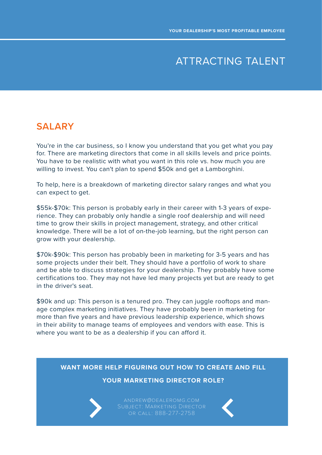### ATTRACTING TALENT

#### **SALARY**

You're in the car business, so I know you understand that you get what you pay for. There are marketing directors that come in all skills levels and price points. You have to be realistic with what you want in this role vs. how much you are willing to invest. You can't plan to spend \$50k and get a Lamborghini.

To help, here is a breakdown of marketing director salary ranges and what you can expect to get.

\$55k-\$70k: This person is probably early in their career with 1-3 years of experience. They can probably only handle a single roof dealership and will need time to grow their skills in project management, strategy, and other critical knowledge. There will be a lot of on-the-job learning, but the right person can grow with your dealership.

\$70k-\$90k: This person has probably been in marketing for 3-5 years and has some projects under their belt. They should have a portfolio of work to share and be able to discuss strategies for your dealership. They probably have some certifications too. They may not have led many projects yet but are ready to get in the driver's seat.

\$90k and up: This person is a tenured pro. They can juggle rooftops and manage complex marketing initiatives. They have probably been in marketing for more than five years and have previous leadership experience, which shows in their ability to manage teams of employees and vendors with ease. This is where you want to be as a dealership if you can afford it.

#### **WANT MORE HELP FIGURING OUT HOW TO CREATE AND FILL**

#### **YOUR MARKETING DIRECTOR ROLE?**



andrew@dealeromg.com or call: 888-277-2758